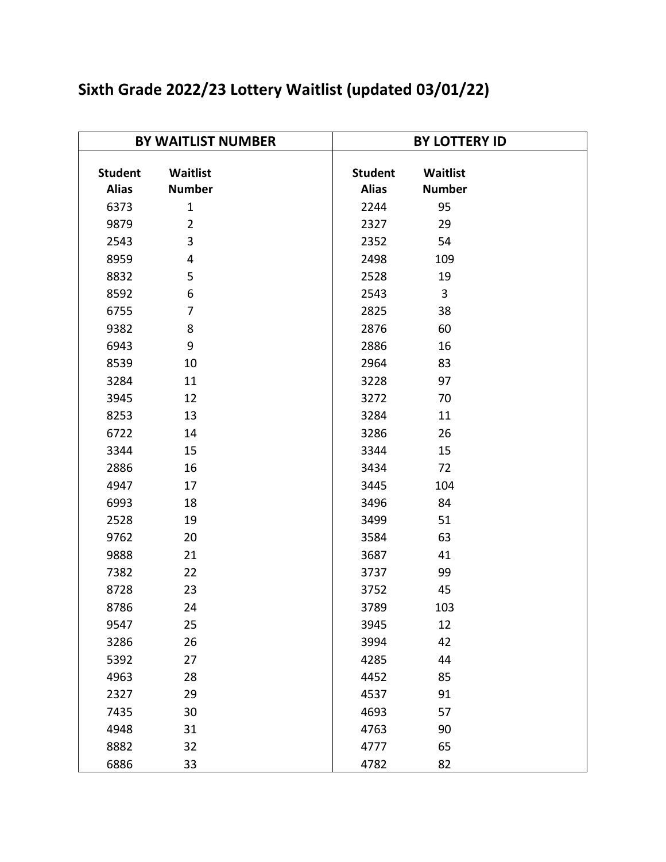| <b>BY WAITLIST NUMBER</b> |                |                | <b>BY LOTTERY ID</b> |  |  |
|---------------------------|----------------|----------------|----------------------|--|--|
|                           |                |                |                      |  |  |
| <b>Student</b>            | Waitlist       | <b>Student</b> | Waitlist             |  |  |
| <b>Alias</b>              | <b>Number</b>  | <b>Alias</b>   | <b>Number</b>        |  |  |
| 6373                      | $\mathbf{1}$   | 2244           | 95                   |  |  |
| 9879                      | $\overline{2}$ | 2327           | 29                   |  |  |
| 2543                      | 3              | 2352           | 54                   |  |  |
| 8959                      | 4              | 2498           | 109                  |  |  |
| 8832                      | 5              | 2528           | 19                   |  |  |
| 8592                      | 6              | 2543           | 3                    |  |  |
| 6755                      | $\overline{7}$ | 2825           | 38                   |  |  |
| 9382                      | 8              | 2876           | 60                   |  |  |
| 6943                      | 9              | 2886           | 16                   |  |  |
| 8539                      | 10             | 2964           | 83                   |  |  |
| 3284                      | 11             | 3228           | 97                   |  |  |
| 3945                      | 12             | 3272           | 70                   |  |  |
| 8253                      | 13             | 3284           | 11                   |  |  |
| 6722                      | 14             | 3286           | 26                   |  |  |
| 3344                      | 15             | 3344           | 15                   |  |  |
| 2886                      | 16             | 3434           | 72                   |  |  |
| 4947                      | 17             | 3445           | 104                  |  |  |
| 6993                      | 18             | 3496           | 84                   |  |  |
| 2528                      | 19             | 3499           | 51                   |  |  |
| 9762                      | 20             | 3584           | 63                   |  |  |
| 9888                      | 21             | 3687           | 41                   |  |  |
| 7382                      | 22             | 3737           | 99                   |  |  |
| 8728                      | 23             | 3752           | 45                   |  |  |
| 8786                      | 24             | 3789           | 103                  |  |  |
| 9547                      | 25             | 3945           | 12                   |  |  |
| 3286                      | 26             | 3994           | 42                   |  |  |
| 5392                      | 27             | 4285           | 44                   |  |  |
| 4963                      | 28             | 4452           | 85                   |  |  |
| 2327                      | 29             | 4537           | 91                   |  |  |
| 7435                      | 30             | 4693           | 57                   |  |  |
| 4948                      | 31             | 4763           | 90                   |  |  |
| 8882                      | 32             | 4777           | 65                   |  |  |
| 6886                      | 33             | 4782           | 82                   |  |  |

## **Sixth Grade 2022/23 Lottery Waitlist (updated 03/01/22)**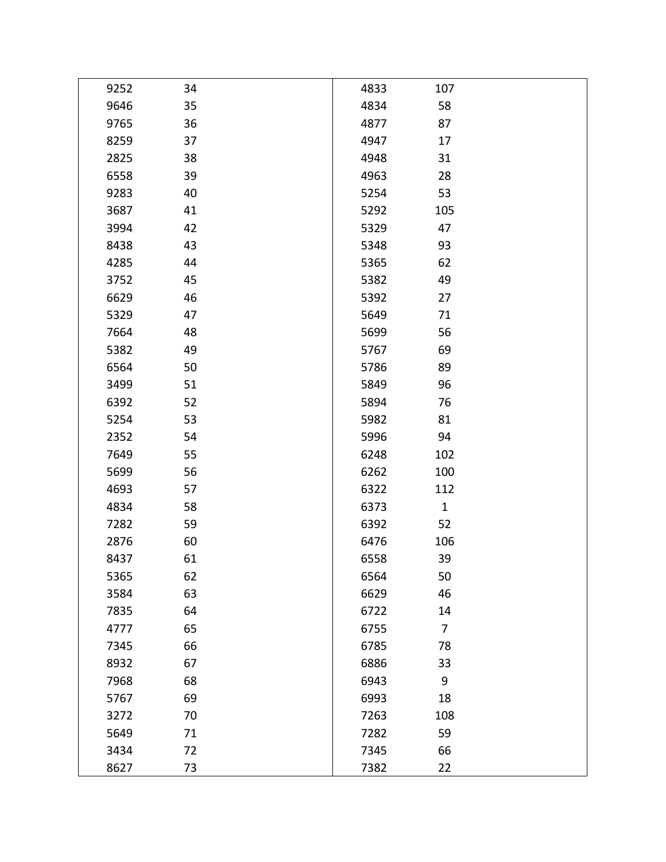| 9252 | 34 | 4833 | 107            |  |
|------|----|------|----------------|--|
| 9646 | 35 | 4834 | 58             |  |
| 9765 | 36 | 4877 | 87             |  |
| 8259 | 37 | 4947 | 17             |  |
| 2825 | 38 | 4948 | 31             |  |
| 6558 | 39 | 4963 | 28             |  |
| 9283 | 40 | 5254 | 53             |  |
| 3687 | 41 | 5292 | 105            |  |
| 3994 | 42 | 5329 | 47             |  |
| 8438 | 43 | 5348 | 93             |  |
| 4285 | 44 | 5365 | 62             |  |
| 3752 | 45 | 5382 | 49             |  |
| 6629 | 46 | 5392 | 27             |  |
| 5329 | 47 | 5649 | 71             |  |
| 7664 | 48 | 5699 | 56             |  |
| 5382 | 49 | 5767 | 69             |  |
| 6564 | 50 | 5786 | 89             |  |
| 3499 | 51 | 5849 | 96             |  |
| 6392 | 52 | 5894 | 76             |  |
| 5254 | 53 | 5982 | 81             |  |
| 2352 | 54 | 5996 | 94             |  |
| 7649 | 55 | 6248 | 102            |  |
| 5699 | 56 | 6262 | 100            |  |
| 4693 | 57 | 6322 | 112            |  |
| 4834 | 58 | 6373 | $\mathbf 1$    |  |
| 7282 | 59 | 6392 | 52             |  |
| 2876 | 60 | 6476 | 106            |  |
| 8437 | 61 | 6558 | 39             |  |
| 5365 | 62 | 6564 | 50             |  |
| 3584 | 63 | 6629 | 46             |  |
| 7835 | 64 | 6722 | 14             |  |
| 4777 | 65 | 6755 | $\overline{7}$ |  |
| 7345 | 66 | 6785 | 78             |  |
| 8932 | 67 | 6886 | 33             |  |
| 7968 | 68 | 6943 | 9              |  |
| 5767 | 69 | 6993 | 18             |  |
| 3272 | 70 | 7263 | 108            |  |
| 5649 | 71 | 7282 | 59             |  |
| 3434 | 72 | 7345 | 66             |  |
| 8627 | 73 | 7382 | 22             |  |